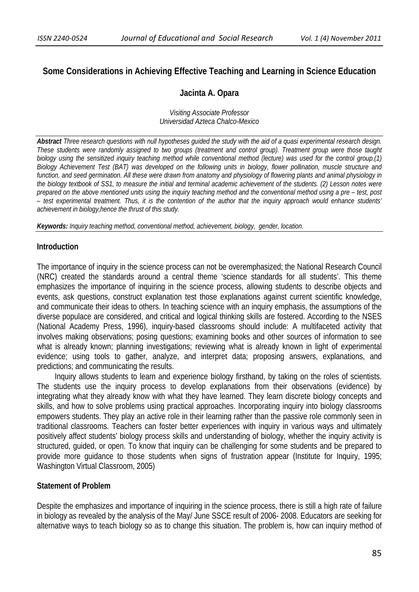# **Some Considerations in Achieving Effective Teaching and Learning in Science Education**

### **Jacinta A. Opara**

*Visiting Associate Professor Universidad Azteca Chalco-Mexico* 

*Abstract Three research questions with null hypotheses guided the study with the aid of a quasi experimental research design. These students were randomly assigned to two groups (treatment and control group). Treatment group were those taught biology using the sensitized inquiry teaching method while conventional method (lecture) was used for the control group.(1) Biology Achievement Test (BAT) was developed on the following units in biology, flower pollination, muscle structure and function, and seed germination. All these were drawn from anatomy and physiology of flowering plants and animal physiology in the biology textbook of SS1, to measure the initial and terminal academic achievement of the students. (2) Lesson notes were prepared on the above mentioned units using the inquiry teaching method and the conventional method using a pre – test, post – test experimental treatment. Thus, it is the contention of the author that the inquiry approach would enhance students' achievement in biology,hence the thrust of this study.* 

*Keywords: Inquiry teaching method, conventional method, achievement, biology, gender, location.* 

#### **Introduction**

The importance of inquiry in the science process can not be overemphasized; the National Research Council (NRC) created the standards around a central theme 'science standards for all students'. This theme emphasizes the importance of inquiring in the science process, allowing students to describe objects and events, ask questions, construct explanation test those explanations against current scientific knowledge, and communicate their ideas to others. In teaching science with an inquiry emphasis, the assumptions of the diverse populace are considered, and critical and logical thinking skills are fostered. According to the NSES (National Academy Press, 1996), inquiry-based classrooms should include: A multifaceted activity that involves making observations; posing questions; examining books and other sources of information to see what is already known; planning investigations; reviewing what is already known in light of experimental evidence; using tools to gather, analyze, and interpret data; proposing answers, explanations, and predictions; and communicating the results.

 Inquiry allows students to learn and experience biology firsthand, by taking on the roles of scientists. The students use the inquiry process to develop explanations from their observations (evidence) by integrating what they already know with what they have learned. They learn discrete biology concepts and skills, and how to solve problems using practical approaches. Incorporating inquiry into biology classrooms empowers students. They play an active role in their learning rather than the passive role commonly seen in traditional classrooms. Teachers can foster better experiences with inquiry in various ways and ultimately positively affect students' biology process skills and understanding of biology, whether the inquiry activity is structured, guided, or open. To know that inquiry can be challenging for some students and be prepared to provide more guidance to those students when signs of frustration appear (Institute for Inquiry, 1995; Washington Virtual Classroom, 2005)

### **Statement of Problem**

Despite the emphasizes and importance of inquiring in the science process, there is still a high rate of failure in biology as revealed by the analysis of the May/ June SSCE result of 2006- 2008. Educators are seeking for alternative ways to teach biology so as to change this situation. The problem is, how can inquiry method of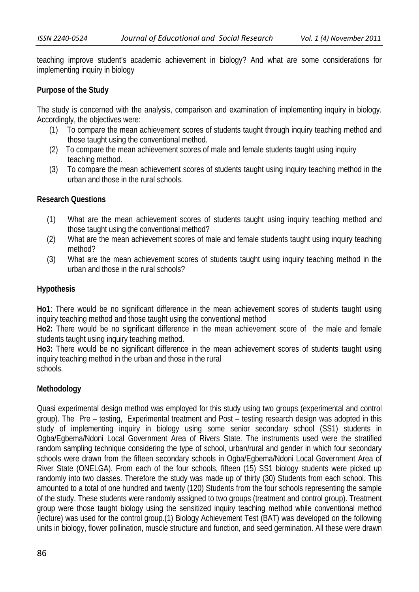teaching improve student's academic achievement in biology? And what are some considerations for implementing inquiry in biology

# **Purpose of the Study**

The study is concerned with the analysis, comparison and examination of implementing inquiry in biology. Accordingly, the objectives were:

- (1) To compare the mean achievement scores of students taught through inquiry teaching method and those taught using the conventional method.
- (2) To compare the mean achievement scores of male and female students taught using inquiry teaching method.
- (3) To compare the mean achievement scores of students taught using inquiry teaching method in the urban and those in the rural schools.

## **Research Questions**

- (1) What are the mean achievement scores of students taught using inquiry teaching method and those taught using the conventional method?
- (2) What are the mean achievement scores of male and female students taught using inquiry teaching method?
- (3) What are the mean achievement scores of students taught using inquiry teaching method in the urban and those in the rural schools?

## **Hypothesis**

**Ho1**: There would be no significant difference in the mean achievement scores of students taught using inquiry teaching method and those taught using the conventional method

**Ho2:** There would be no significant difference in the mean achievement score of the male and female students taught using inquiry teaching method.

**Ho3:** There would be no significant difference in the mean achievement scores of students taught using inquiry teaching method in the urban and those in the rural schools.

## **Methodology**

Quasi experimental design method was employed for this study using two groups (experimental and control group). The Pre – testing, Experimental treatment and Post – testing research design was adopted in this study of implementing inquiry in biology using some senior secondary school (SS1) students in Ogba/Egbema/Ndoni Local Government Area of Rivers State. The instruments used were the stratified random sampling technique considering the type of school, urban/rural and gender in which four secondary schools were drawn from the fifteen secondary schools in Ogba/Egbema/Ndoni Local Government Area of River State (ONELGA). From each of the four schools, fifteen (15) SS1 biology students were picked up randomly into two classes. Therefore the study was made up of thirty (30) Students from each school. This amounted to a total of one hundred and twenty (120) Students from the four schools representing the sample of the study. These students were randomly assigned to two groups (treatment and control group). Treatment group were those taught biology using the sensitized inquiry teaching method while conventional method (lecture) was used for the control group.(1) Biology Achievement Test (BAT) was developed on the following units in biology, flower pollination, muscle structure and function, and seed germination. All these were drawn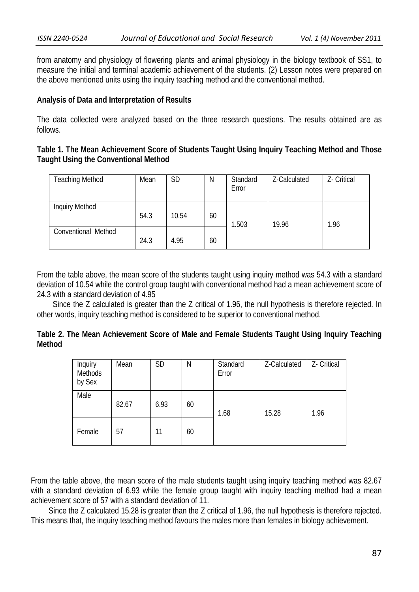from anatomy and physiology of flowering plants and animal physiology in the biology textbook of SS1, to measure the initial and terminal academic achievement of the students. (2) Lesson notes were prepared on the above mentioned units using the inquiry teaching method and the conventional method.

### **Analysis of Data and Interpretation of Results**

The data collected were analyzed based on the three research questions. The results obtained are as follows.

# **Table 1. The Mean Achievement Score of Students Taught Using Inquiry Teaching Method and Those Taught Using the Conventional Method**

| <b>Teaching Method</b> | Mean | <b>SD</b> | N  | Standard<br>Error | Z-Calculated | Z- Critical |
|------------------------|------|-----------|----|-------------------|--------------|-------------|
| <b>Inquiry Method</b>  | 54.3 | 10.54     | 60 | 1.503             | 19.96        | 1.96        |
| Conventional Method    | 24.3 | 4.95      | 60 |                   |              |             |

From the table above, the mean score of the students taught using inquiry method was 54.3 with a standard deviation of 10.54 while the control group taught with conventional method had a mean achievement score of 24.3 with a standard deviation of 4.95

 Since the Z calculated is greater than the Z critical of 1.96, the null hypothesis is therefore rejected. In other words, inquiry teaching method is considered to be superior to conventional method.

|        |  | Table 2. The Mean Achievement Score of Male and Female Students Taught Using Inquiry Teaching |  |  |  |  |  |
|--------|--|-----------------------------------------------------------------------------------------------|--|--|--|--|--|
| Method |  |                                                                                               |  |  |  |  |  |

| Inquiry<br>Methods<br>by Sex | Mean  | <b>SD</b> | Ν  | Standard<br>Error | Z-Calculated | Z- Critical |
|------------------------------|-------|-----------|----|-------------------|--------------|-------------|
| Male                         | 82.67 | 6.93      | 60 | 1.68              | 15.28        | 1.96        |
| Female                       | 57    | 11        | 60 |                   |              |             |

From the table above, the mean score of the male students taught using inquiry teaching method was 82.67 with a standard deviation of 6.93 while the female group taught with inquiry teaching method had a mean achievement score of 57 with a standard deviation of 11.

 Since the Z calculated 15.28 is greater than the Z critical of 1.96, the null hypothesis is therefore rejected. This means that, the inquiry teaching method favours the males more than females in biology achievement.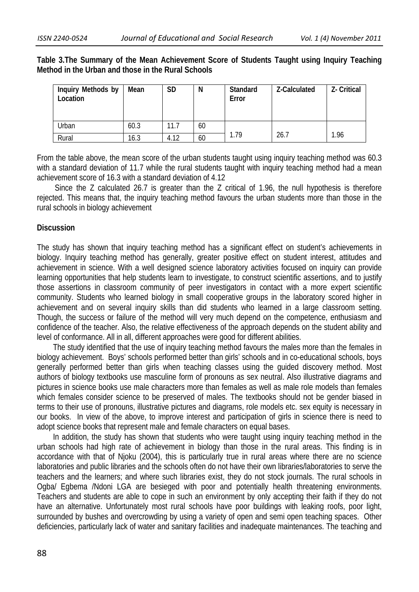**Table 3.The Summary of the Mean Achievement Score of Students Taught using Inquiry Teaching Method in the Urban and those in the Rural Schools** 

| Inquiry Methods by<br>Location | Mean | <b>SD</b> | N  | Standard<br>Error | Z-Calculated | Z- Critical |
|--------------------------------|------|-----------|----|-------------------|--------------|-------------|
| Urban                          | 60.3 | 11.7      | 60 |                   |              |             |
| Rural                          | 16.3 | 4.12      | 60 | .79               | 26.7         | 1.96        |

From the table above, the mean score of the urban students taught using inquiry teaching method was 60.3 with a standard deviation of 11.7 while the rural students taught with inquiry teaching method had a mean achievement score of 16.3 with a standard deviation of 4.12

 Since the Z calculated 26.7 is greater than the Z critical of 1.96, the null hypothesis is therefore rejected. This means that, the inquiry teaching method favours the urban students more than those in the rural schools in biology achievement

### **Discussion**

The study has shown that inquiry teaching method has a significant effect on student's achievements in biology. Inquiry teaching method has generally, greater positive effect on student interest, attitudes and achievement in science. With a well designed science laboratory activities focused on inquiry can provide learning opportunities that help students learn to investigate, to construct scientific assertions, and to justify those assertions in classroom community of peer investigators in contact with a more expert scientific community. Students who learned biology in small cooperative groups in the laboratory scored higher in achievement and on several inquiry skills than did students who learned in a large classroom setting. Though, the success or failure of the method will very much depend on the competence, enthusiasm and confidence of the teacher. Also, the relative effectiveness of the approach depends on the student ability and level of conformance. All in all, different approaches were good for different abilities.

 The study identified that the use of inquiry teaching method favours the males more than the females in biology achievement. Boys' schools performed better than girls' schools and in co-educational schools, boys generally performed better than girls when teaching classes using the guided discovery method. Most authors of biology textbooks use masculine form of pronouns as sex neutral. Also illustrative diagrams and pictures in science books use male characters more than females as well as male role models than females which females consider science to be preserved of males. The textbooks should not be gender biased in terms to their use of pronouns, illustrative pictures and diagrams, role models etc. sex equity is necessary in our books. In view of the above, to improve interest and participation of girls in science there is need to adopt science books that represent male and female characters on equal bases.

 In addition, the study has shown that students who were taught using inquiry teaching method in the urban schools had high rate of achievement in biology than those in the rural areas. This finding is in accordance with that of Njoku (2004), this is particularly true in rural areas where there are no science laboratories and public libraries and the schools often do not have their own libraries/laboratories to serve the teachers and the learners; and where such libraries exist, they do not stock journals. The rural schools in Ogba/ Egbema /Ndoni LGA are besieged with poor and potentially health threatening environments. Teachers and students are able to cope in such an environment by only accepting their faith if they do not have an alternative. Unfortunately most rural schools have poor buildings with leaking roofs, poor light, surrounded by bushes and overcrowding by using a variety of open and semi open teaching spaces. Other deficiencies, particularly lack of water and sanitary facilities and inadequate maintenances. The teaching and